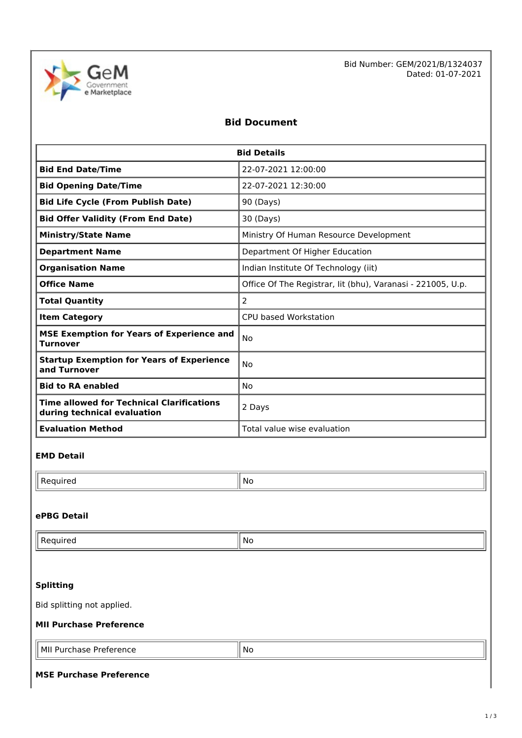

Bid Number: GEM/2021/B/1324037 Dated: 01-07-2021

# **Bid Document**

| <b>Bid Details</b>                                                              |                                                             |  |  |  |
|---------------------------------------------------------------------------------|-------------------------------------------------------------|--|--|--|
| <b>Bid End Date/Time</b>                                                        | 22-07-2021 12:00:00                                         |  |  |  |
| <b>Bid Opening Date/Time</b>                                                    | 22-07-2021 12:30:00                                         |  |  |  |
| <b>Bid Life Cycle (From Publish Date)</b>                                       | 90 (Days)                                                   |  |  |  |
| <b>Bid Offer Validity (From End Date)</b>                                       | 30 (Days)                                                   |  |  |  |
| <b>Ministry/State Name</b>                                                      | Ministry Of Human Resource Development                      |  |  |  |
| <b>Department Name</b>                                                          | Department Of Higher Education                              |  |  |  |
| <b>Organisation Name</b>                                                        | Indian Institute Of Technology (iit)                        |  |  |  |
| <b>Office Name</b>                                                              | Office Of The Registrar, lit (bhu), Varanasi - 221005, U.p. |  |  |  |
| <b>Total Quantity</b>                                                           | $\overline{2}$                                              |  |  |  |
| <b>Item Category</b>                                                            | CPU based Workstation                                       |  |  |  |
| <b>MSE Exemption for Years of Experience and</b><br><b>Turnover</b>             | No                                                          |  |  |  |
| <b>Startup Exemption for Years of Experience</b><br>and Turnover                | No                                                          |  |  |  |
| <b>Bid to RA enabled</b>                                                        | No                                                          |  |  |  |
| <b>Time allowed for Technical Clarifications</b><br>during technical evaluation | 2 Days                                                      |  |  |  |
| <b>Evaluation Method</b>                                                        | Total value wise evaluation                                 |  |  |  |

### **EMD Detail**

 $\mathsf{Required}$   $\|\mathsf{No}\|$ 

### **ePBG Detail**

| .<br>equired<br>- | .No |
|-------------------|-----|
|                   |     |
|                   |     |

# **Splitting**

Bid splitting not applied.

#### **MII Purchase Preference**

| 'МI.<br>Preference<br>Purchase<br>. | <b>No</b> |
|-------------------------------------|-----------|
|-------------------------------------|-----------|

#### **MSE Purchase Preference**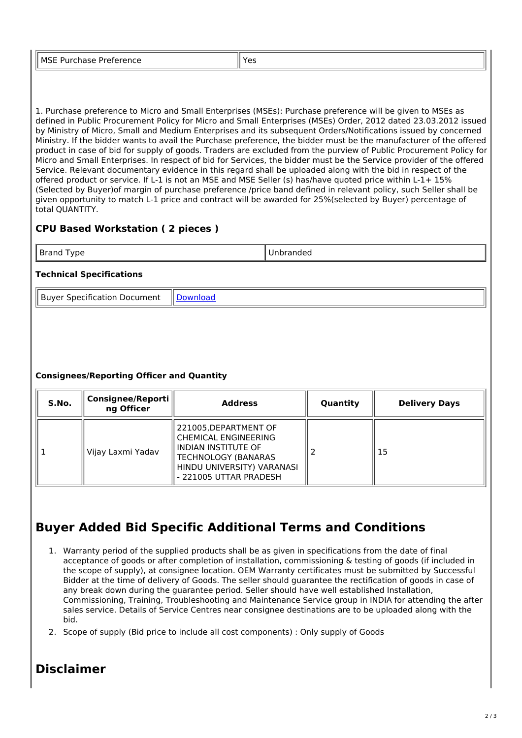| ີ | <b>MSE Pu</b><br>- - - -<br>rieieience<br>ulludoc | $V_{\Omega}$ |
|---|---------------------------------------------------|--------------|
|---|---------------------------------------------------|--------------|

1. Purchase preference to Micro and Small Enterprises (MSEs): Purchase preference will be given to MSEs as defined in Public Procurement Policy for Micro and Small Enterprises (MSEs) Order, 2012 dated 23.03.2012 issued by Ministry of Micro, Small and Medium Enterprises and its subsequent Orders/Notifications issued by concerned Ministry. If the bidder wants to avail the Purchase preference, the bidder must be the manufacturer of the offered product in case of bid for supply of goods. Traders are excluded from the purview of Public Procurement Policy for Micro and Small Enterprises. In respect of bid for Services, the bidder must be the Service provider of the offered Service. Relevant documentary evidence in this regard shall be uploaded along with the bid in respect of the offered product or service. If L-1 is not an MSE and MSE Seller (s) has/have quoted price within L-1+ 15% (Selected by Buyer)of margin of purchase preference /price band defined in relevant policy, such Seller shall be given opportunity to match L-1 price and contract will be awarded for 25%(selected by Buyer) percentage of total QUANTITY.

# **CPU Based Workstation ( 2 pieces )**

| м.<br>$\sim$ $\sim$ |  |
|---------------------|--|

## **Technical Specifications**

Buyer Specification Document | [Download](https://mkp.gem.gov.in/catalog_data/catalog_support_document/buyer_documents/411982/54/78/703/CatalogAttrs/SpecificationDocument/2021/7/1/cpu-based-workstationds_2021-07-01-11-32-02_de96734eb4487bf59a5b5e0e50a6e9f6.pdf)

## **Consignees/Reporting Officer and Quantity**

| S.No. | <b>Consignee/Reporti</b><br>ng Officer | <b>Address</b>                                                                                                                                             | Quantity | <b>Delivery Days</b> |
|-------|----------------------------------------|------------------------------------------------------------------------------------------------------------------------------------------------------------|----------|----------------------|
|       | Vijay Laxmi Yadav                      | 221005, DEPARTMENT OF<br>CHEMICAL ENGINEERING<br>INDIAN INSTITUTE OF<br><b>TECHNOLOGY (BANARAS</b><br>HINDU UNIVERSITY) VARANASI<br>- 221005 UTTAR PRADESH |          | 15                   |

# **Buyer Added Bid Specific Additional Terms and Conditions**

- 1. Warranty period of the supplied products shall be as given in specifications from the date of final acceptance of goods or after completion of installation, commissioning & testing of goods (if included in the scope of supply), at consignee location. OEM Warranty certificates must be submitted by Successful Bidder at the time of delivery of Goods. The seller should guarantee the rectification of goods in case of any break down during the guarantee period. Seller should have well established Installation, Commissioning, Training, Troubleshooting and Maintenance Service group in INDIA for attending the after sales service. Details of Service Centres near consignee destinations are to be uploaded along with the bid.
- 2. Scope of supply (Bid price to include all cost components) : Only supply of Goods

# **Disclaimer**